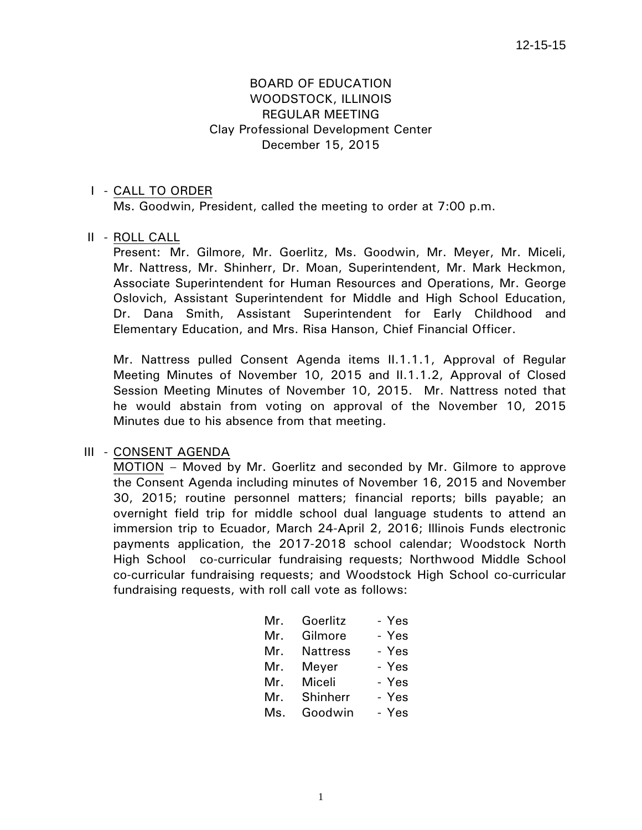# BOARD OF EDUCATION WOODSTOCK, ILLINOIS REGULAR MEETING Clay Professional Development Center December 15, 2015

#### I - CALL TO ORDER

Ms. Goodwin, President, called the meeting to order at 7:00 p.m.

#### II - ROLL CALL

 Present: Mr. Gilmore, Mr. Goerlitz, Ms. Goodwin, Mr. Meyer, Mr. Miceli, Mr. Nattress, Mr. Shinherr, Dr. Moan, Superintendent, Mr. Mark Heckmon, Associate Superintendent for Human Resources and Operations, Mr. George Oslovich, Assistant Superintendent for Middle and High School Education, Dr. Dana Smith, Assistant Superintendent for Early Childhood and Elementary Education, and Mrs. Risa Hanson, Chief Financial Officer.

 Mr. Nattress pulled Consent Agenda items II.1.1.1, Approval of Regular Meeting Minutes of November 10, 2015 and II.1.1.2, Approval of Closed Session Meeting Minutes of November 10, 2015. Mr. Nattress noted that he would abstain from voting on approval of the November 10, 2015 Minutes due to his absence from that meeting.

#### III - CONSENT AGENDA

 MOTION – Moved by Mr. Goerlitz and seconded by Mr. Gilmore to approve the Consent Agenda including minutes of November 16, 2015 and November 30, 2015; routine personnel matters; financial reports; bills payable; an overnight field trip for middle school dual language students to attend an immersion trip to Ecuador, March 24-April 2, 2016; Illinois Funds electronic payments application, the 2017-2018 school calendar; Woodstock North High School co-curricular fundraising requests; Northwood Middle School co-curricular fundraising requests; and Woodstock High School co-curricular fundraising requests, with roll call vote as follows:

| Mr. | Goerlitz        | - Yes |
|-----|-----------------|-------|
| Mr. | Gilmore         | - Yes |
| Mr. | <b>Nattress</b> | - Yes |
| Mr. | Meyer           | - Yes |
| Mr. | Miceli          | - Yes |
| Mr. | Shinherr        | - Yes |
| Ms. | Goodwin         | - Yes |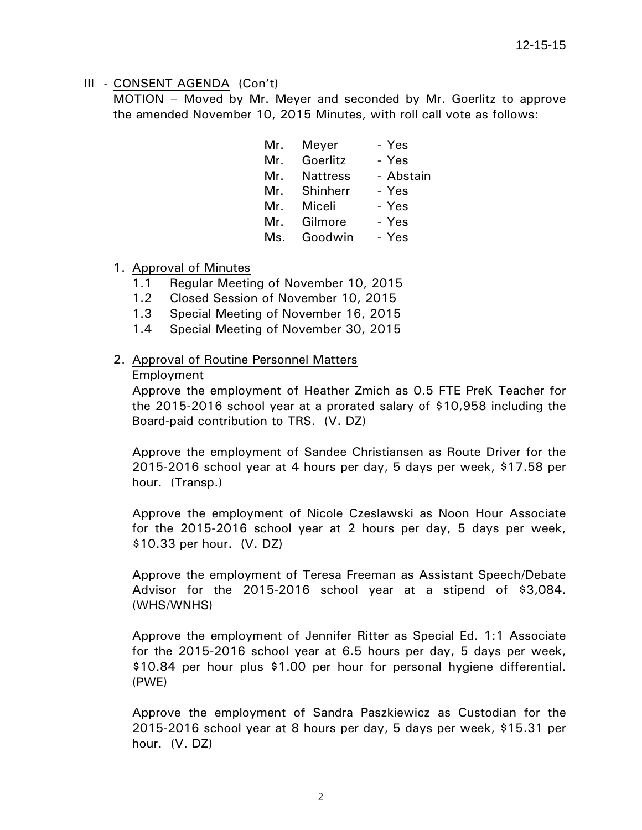MOTION – Moved by Mr. Meyer and seconded by Mr. Goerlitz to approve the amended November 10, 2015 Minutes, with roll call vote as follows:

| Meyer<br>Mr.           | - Yes     |
|------------------------|-----------|
| Goerlitz<br>Mr.        | - Yes     |
| <b>Nattress</b><br>Mr. | - Abstain |
| Shinherr<br>Mr.        | - Yes     |
| Miceli<br>Mr.          | - Yes     |
| Gilmore<br>Mr.         | - Yes     |
| Goodwin<br>Ms.         | - Yes     |
|                        |           |

#### 1. Approval of Minutes

- 1.1 Regular Meeting of November 10, 2015
- 1.2 Closed Session of November 10, 2015
- 1.3 Special Meeting of November 16, 2015
- 1.4 Special Meeting of November 30, 2015

# 2. Approval of Routine Personnel Matters

#### Employment

Approve the employment of Heather Zmich as 0.5 FTE PreK Teacher for the 2015-2016 school year at a prorated salary of \$10,958 including the Board-paid contribution to TRS. (V. DZ)

Approve the employment of Sandee Christiansen as Route Driver for the 2015-2016 school year at 4 hours per day, 5 days per week, \$17.58 per hour. (Transp.)

Approve the employment of Nicole Czeslawski as Noon Hour Associate for the 2015-2016 school year at 2 hours per day, 5 days per week, \$10.33 per hour. (V. DZ)

Approve the employment of Teresa Freeman as Assistant Speech/Debate Advisor for the 2015-2016 school year at a stipend of \$3,084. (WHS/WNHS)

Approve the employment of Jennifer Ritter as Special Ed. 1:1 Associate for the 2015-2016 school year at 6.5 hours per day, 5 days per week, \$10.84 per hour plus \$1.00 per hour for personal hygiene differential. (PWE)

Approve the employment of Sandra Paszkiewicz as Custodian for the 2015-2016 school year at 8 hours per day, 5 days per week, \$15.31 per hour. (V. DZ)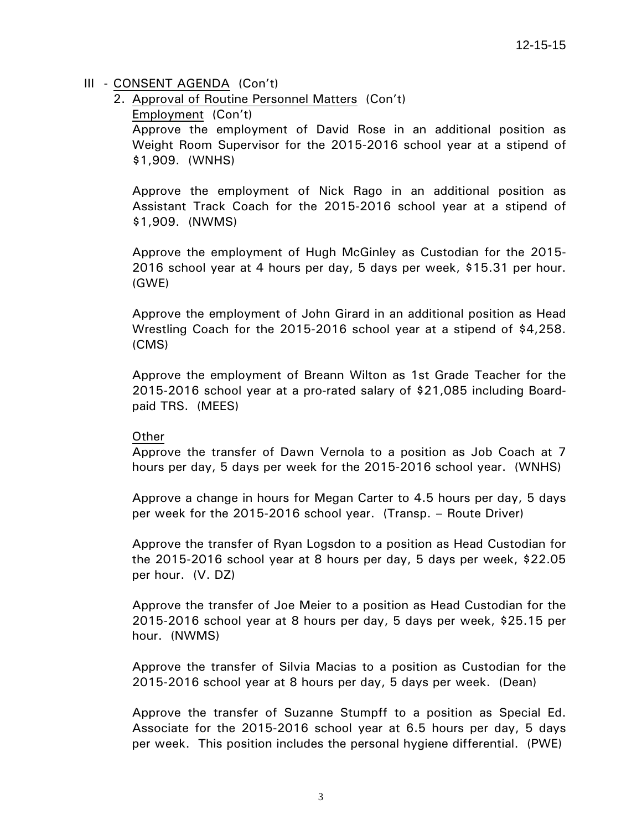2. Approval of Routine Personnel Matters (Con't)

Employment (Con't)

Approve the employment of David Rose in an additional position as Weight Room Supervisor for the 2015-2016 school year at a stipend of \$1,909. (WNHS)

Approve the employment of Nick Rago in an additional position as Assistant Track Coach for the 2015-2016 school year at a stipend of \$1,909. (NWMS)

Approve the employment of Hugh McGinley as Custodian for the 2015- 2016 school year at 4 hours per day, 5 days per week, \$15.31 per hour. (GWE)

Approve the employment of John Girard in an additional position as Head Wrestling Coach for the 2015-2016 school year at a stipend of \$4,258. (CMS)

Approve the employment of Breann Wilton as 1st Grade Teacher for the 2015-2016 school year at a pro-rated salary of \$21,085 including Boardpaid TRS. (MEES)

#### Other

Approve the transfer of Dawn Vernola to a position as Job Coach at 7 hours per day, 5 days per week for the 2015-2016 school year. (WNHS)

Approve a change in hours for Megan Carter to 4.5 hours per day, 5 days per week for the 2015-2016 school year. (Transp. – Route Driver)

Approve the transfer of Ryan Logsdon to a position as Head Custodian for the 2015-2016 school year at 8 hours per day, 5 days per week, \$22.05 per hour. (V. DZ)

Approve the transfer of Joe Meier to a position as Head Custodian for the 2015-2016 school year at 8 hours per day, 5 days per week, \$25.15 per hour. (NWMS)

Approve the transfer of Silvia Macias to a position as Custodian for the 2015-2016 school year at 8 hours per day, 5 days per week. (Dean)

Approve the transfer of Suzanne Stumpff to a position as Special Ed. Associate for the 2015-2016 school year at 6.5 hours per day, 5 days per week. This position includes the personal hygiene differential. (PWE)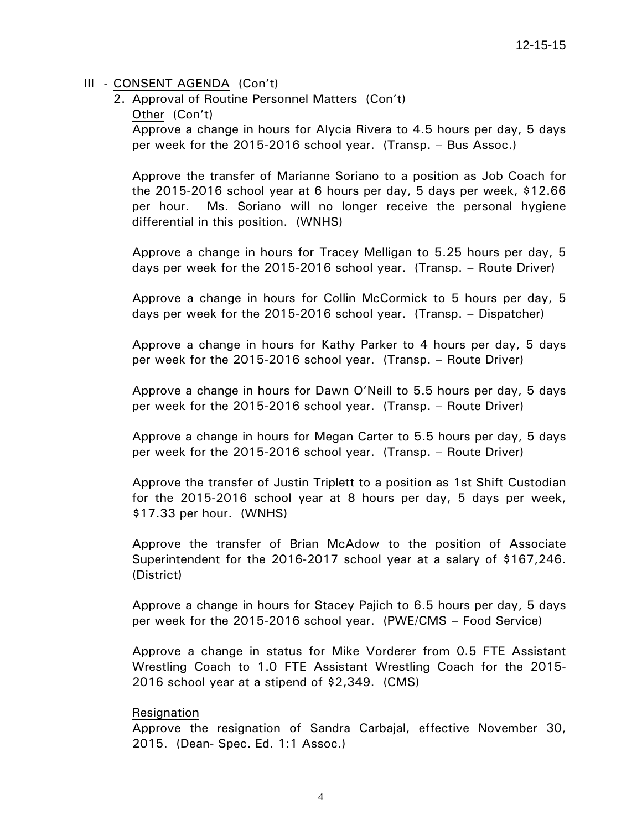2. Approval of Routine Personnel Matters (Con't)

Other (Con't)

Approve a change in hours for Alycia Rivera to 4.5 hours per day, 5 days per week for the 2015-2016 school year. (Transp. – Bus Assoc.)

Approve the transfer of Marianne Soriano to a position as Job Coach for the 2015-2016 school year at 6 hours per day, 5 days per week, \$12.66 per hour. Ms. Soriano will no longer receive the personal hygiene differential in this position. (WNHS)

Approve a change in hours for Tracey Melligan to 5.25 hours per day, 5 days per week for the 2015-2016 school year. (Transp. – Route Driver)

Approve a change in hours for Collin McCormick to 5 hours per day, 5 days per week for the 2015-2016 school year. (Transp. – Dispatcher)

Approve a change in hours for Kathy Parker to 4 hours per day, 5 days per week for the 2015-2016 school year. (Transp. – Route Driver)

Approve a change in hours for Dawn O'Neill to 5.5 hours per day, 5 days per week for the 2015-2016 school year. (Transp. – Route Driver)

Approve a change in hours for Megan Carter to 5.5 hours per day, 5 days per week for the 2015-2016 school year. (Transp. – Route Driver)

Approve the transfer of Justin Triplett to a position as 1st Shift Custodian for the 2015-2016 school year at 8 hours per day, 5 days per week, \$17.33 per hour. (WNHS)

Approve the transfer of Brian McAdow to the position of Associate Superintendent for the 2016-2017 school year at a salary of \$167,246. (District)

Approve a change in hours for Stacey Pajich to 6.5 hours per day, 5 days per week for the 2015-2016 school year. (PWE/CMS – Food Service)

Approve a change in status for Mike Vorderer from 0.5 FTE Assistant Wrestling Coach to 1.0 FTE Assistant Wrestling Coach for the 2015- 2016 school year at a stipend of \$2,349. (CMS)

#### Resignation

Approve the resignation of Sandra Carbajal, effective November 30, 2015. (Dean- Spec. Ed. 1:1 Assoc.)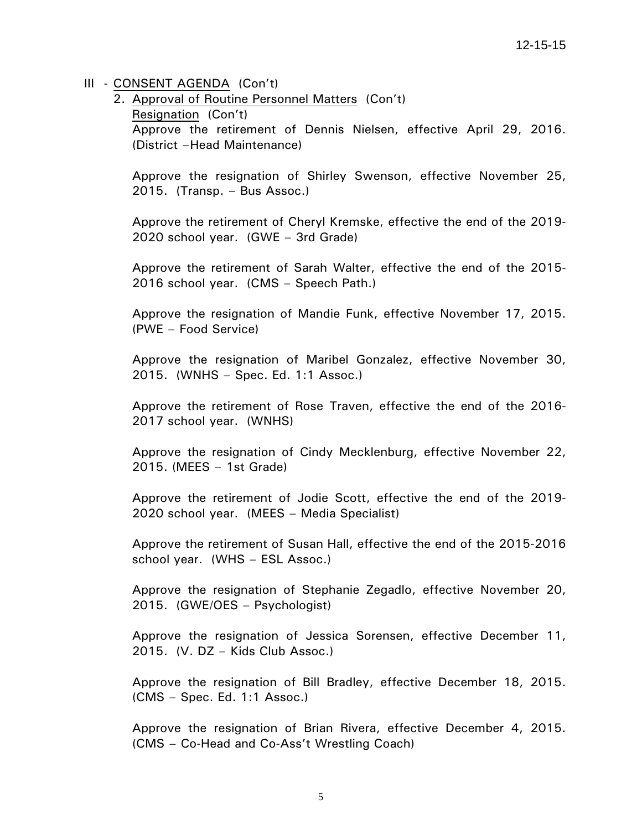2. Approval of Routine Personnel Matters (Con't) Resignation (Con't) Approve the retirement of Dennis Nielsen, effective April 29, 2016. (District –Head Maintenance)

Approve the resignation of Shirley Swenson, effective November 25, 2015. (Transp. – Bus Assoc.)

Approve the retirement of Cheryl Kremske, effective the end of the 2019- 2020 school year. (GWE – 3rd Grade)

Approve the retirement of Sarah Walter, effective the end of the 2015- 2016 school year. (CMS – Speech Path.)

Approve the resignation of Mandie Funk, effective November 17, 2015. (PWE – Food Service)

Approve the resignation of Maribel Gonzalez, effective November 30, 2015. (WNHS – Spec. Ed. 1:1 Assoc.)

Approve the retirement of Rose Traven, effective the end of the 2016- 2017 school year. (WNHS)

Approve the resignation of Cindy Mecklenburg, effective November 22, 2015. (MEES – 1st Grade)

Approve the retirement of Jodie Scott, effective the end of the 2019- 2020 school year. (MEES – Media Specialist)

Approve the retirement of Susan Hall, effective the end of the 2015-2016 school year. (WHS – ESL Assoc.)

Approve the resignation of Stephanie Zegadlo, effective November 20, 2015. (GWE/OES – Psychologist)

Approve the resignation of Jessica Sorensen, effective December 11, 2015. (V. DZ – Kids Club Assoc.)

Approve the resignation of Bill Bradley, effective December 18, 2015. (CMS – Spec. Ed. 1:1 Assoc.)

Approve the resignation of Brian Rivera, effective December 4, 2015. (CMS – Co-Head and Co-Ass't Wrestling Coach)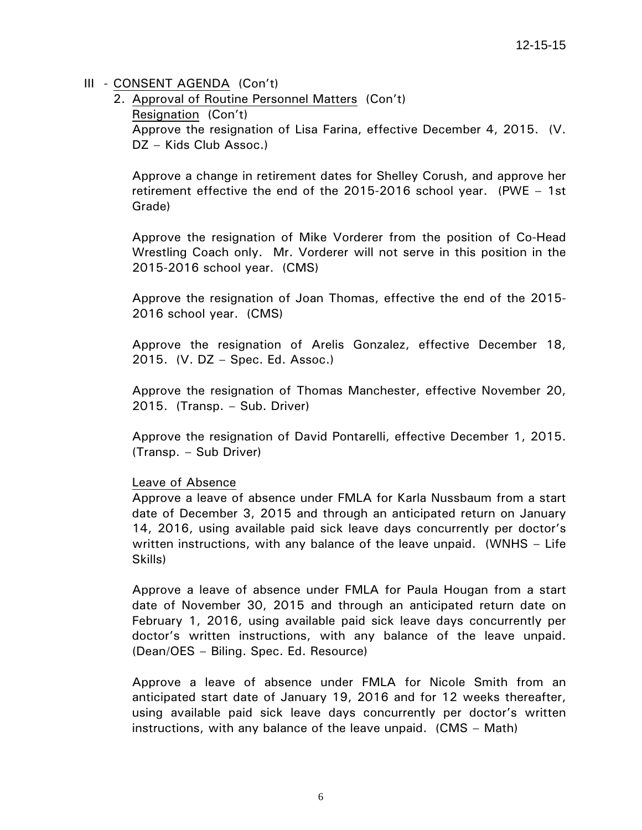2. Approval of Routine Personnel Matters (Con't) Resignation (Con't) Approve the resignation of Lisa Farina, effective December 4, 2015. (V. DZ – Kids Club Assoc.)

Approve a change in retirement dates for Shelley Corush, and approve her retirement effective the end of the 2015-2016 school year. (PWE – 1st Grade)

Approve the resignation of Mike Vorderer from the position of Co-Head Wrestling Coach only. Mr. Vorderer will not serve in this position in the 2015-2016 school year. (CMS)

Approve the resignation of Joan Thomas, effective the end of the 2015- 2016 school year. (CMS)

Approve the resignation of Arelis Gonzalez, effective December 18, 2015. (V. DZ – Spec. Ed. Assoc.)

Approve the resignation of Thomas Manchester, effective November 20, 2015. (Transp. – Sub. Driver)

Approve the resignation of David Pontarelli, effective December 1, 2015. (Transp. – Sub Driver)

#### Leave of Absence

Approve a leave of absence under FMLA for Karla Nussbaum from a start date of December 3, 2015 and through an anticipated return on January 14, 2016, using available paid sick leave days concurrently per doctor's written instructions, with any balance of the leave unpaid. (WNHS – Life Skills)

Approve a leave of absence under FMLA for Paula Hougan from a start date of November 30, 2015 and through an anticipated return date on February 1, 2016, using available paid sick leave days concurrently per doctor's written instructions, with any balance of the leave unpaid. (Dean/OES – Biling. Spec. Ed. Resource)

Approve a leave of absence under FMLA for Nicole Smith from an anticipated start date of January 19, 2016 and for 12 weeks thereafter, using available paid sick leave days concurrently per doctor's written instructions, with any balance of the leave unpaid. (CMS – Math)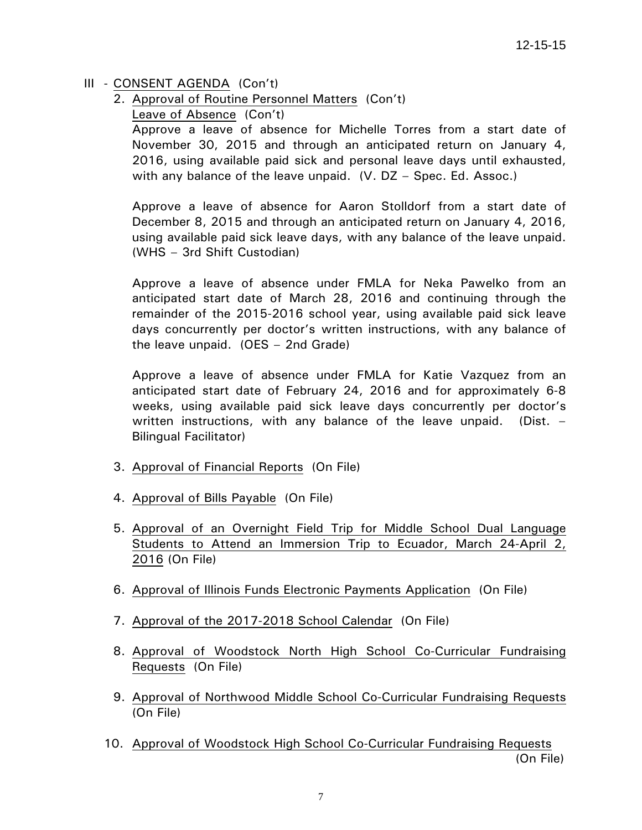- 2. Approval of Routine Personnel Matters (Con't)
	- Leave of Absence (Con't)

Approve a leave of absence for Michelle Torres from a start date of November 30, 2015 and through an anticipated return on January 4, 2016, using available paid sick and personal leave days until exhausted, with any balance of the leave unpaid. (V. DZ – Spec. Ed. Assoc.)

Approve a leave of absence for Aaron Stolldorf from a start date of December 8, 2015 and through an anticipated return on January 4, 2016, using available paid sick leave days, with any balance of the leave unpaid. (WHS – 3rd Shift Custodian)

Approve a leave of absence under FMLA for Neka Pawelko from an anticipated start date of March 28, 2016 and continuing through the remainder of the 2015-2016 school year, using available paid sick leave days concurrently per doctor's written instructions, with any balance of the leave unpaid. (OES – 2nd Grade)

Approve a leave of absence under FMLA for Katie Vazquez from an anticipated start date of February 24, 2016 and for approximately 6-8 weeks, using available paid sick leave days concurrently per doctor's written instructions, with any balance of the leave unpaid. (Dist. – Bilingual Facilitator)

- 3. Approval of Financial Reports (On File)
- 4. Approval of Bills Payable (On File)
- 5. Approval of an Overnight Field Trip for Middle School Dual Language Students to Attend an Immersion Trip to Ecuador, March 24-April 2, 2016 (On File)
- 6. Approval of Illinois Funds Electronic Payments Application (On File)
- 7. Approval of the 2017-2018 School Calendar (On File)
- 8. Approval of Woodstock North High School Co-Curricular Fundraising Requests (On File)
- 9. Approval of Northwood Middle School Co-Curricular Fundraising Requests (On File)
- 10. Approval of Woodstock High School Co-Curricular Fundraising Requests (On File)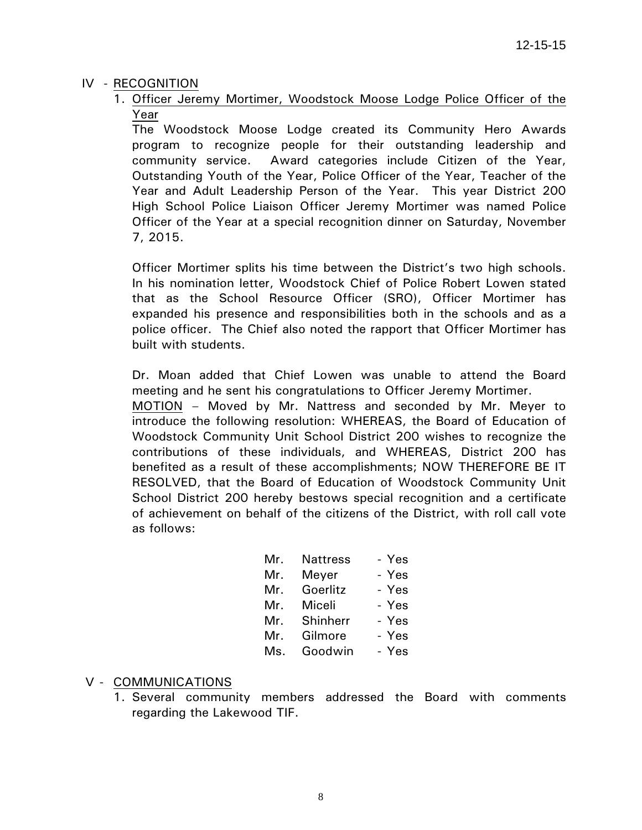# IV - RECOGNITION

1. Officer Jeremy Mortimer, Woodstock Moose Lodge Police Officer of the Year

The Woodstock Moose Lodge created its Community Hero Awards program to recognize people for their outstanding leadership and community service. Award categories include Citizen of the Year, Outstanding Youth of the Year, Police Officer of the Year, Teacher of the Year and Adult Leadership Person of the Year. This year District 200 High School Police Liaison Officer Jeremy Mortimer was named Police Officer of the Year at a special recognition dinner on Saturday, November 7, 2015.

Officer Mortimer splits his time between the District's two high schools. In his nomination letter, Woodstock Chief of Police Robert Lowen stated that as the School Resource Officer (SRO), Officer Mortimer has expanded his presence and responsibilities both in the schools and as a police officer. The Chief also noted the rapport that Officer Mortimer has built with students.

Dr. Moan added that Chief Lowen was unable to attend the Board meeting and he sent his congratulations to Officer Jeremy Mortimer.

 MOTION – Moved by Mr. Nattress and seconded by Mr. Meyer to introduce the following resolution: WHEREAS, the Board of Education of Woodstock Community Unit School District 200 wishes to recognize the contributions of these individuals, and WHEREAS, District 200 has benefited as a result of these accomplishments; NOW THEREFORE BE IT RESOLVED, that the Board of Education of Woodstock Community Unit School District 200 hereby bestows special recognition and a certificate of achievement on behalf of the citizens of the District, with roll call vote as follows:

| Mr. | <b>Nattress</b> | - Yes |
|-----|-----------------|-------|
| Mr. | Meyer           | - Yes |
| Mr. | Goerlitz        | - Yes |
| Mr. | Miceli          | - Yes |
| Mr. | Shinherr        | - Yes |
| Mr. | Gilmore         | - Yes |
| Ms. | Goodwin         | - Yes |

# V - COMMUNICATIONS

1. Several community members addressed the Board with comments regarding the Lakewood TIF.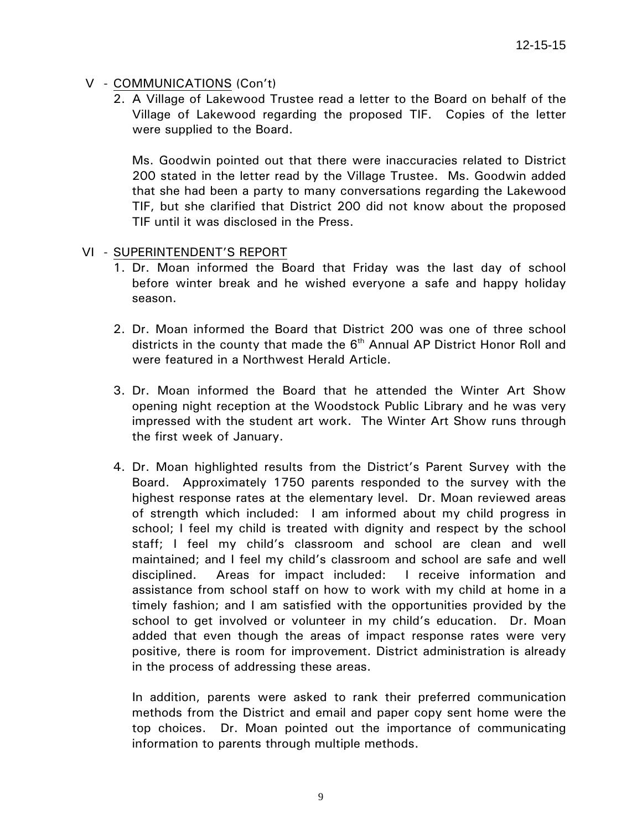# V - COMMUNICATIONS (Con't)

 2. A Village of Lakewood Trustee read a letter to the Board on behalf of the Village of Lakewood regarding the proposed TIF. Copies of the letter were supplied to the Board.

 Ms. Goodwin pointed out that there were inaccuracies related to District 200 stated in the letter read by the Village Trustee. Ms. Goodwin added that she had been a party to many conversations regarding the Lakewood TIF, but she clarified that District 200 did not know about the proposed TIF until it was disclosed in the Press.

# VI - SUPERINTENDENT'S REPORT

- 1. Dr. Moan informed the Board that Friday was the last day of school before winter break and he wished everyone a safe and happy holiday season.
- 2. Dr. Moan informed the Board that District 200 was one of three school districts in the county that made the  $6<sup>th</sup>$  Annual AP District Honor Roll and were featured in a Northwest Herald Article.
- 3. Dr. Moan informed the Board that he attended the Winter Art Show opening night reception at the Woodstock Public Library and he was very impressed with the student art work. The Winter Art Show runs through the first week of January.
- 4. Dr. Moan highlighted results from the District's Parent Survey with the Board. Approximately 1750 parents responded to the survey with the highest response rates at the elementary level. Dr. Moan reviewed areas of strength which included: I am informed about my child progress in school; I feel my child is treated with dignity and respect by the school staff; I feel my child's classroom and school are clean and well maintained; and I feel my child's classroom and school are safe and well disciplined. Areas for impact included: I receive information and assistance from school staff on how to work with my child at home in a timely fashion; and I am satisfied with the opportunities provided by the school to get involved or volunteer in my child's education. Dr. Moan added that even though the areas of impact response rates were very positive, there is room for improvement. District administration is already in the process of addressing these areas.

In addition, parents were asked to rank their preferred communication methods from the District and email and paper copy sent home were the top choices. Dr. Moan pointed out the importance of communicating information to parents through multiple methods.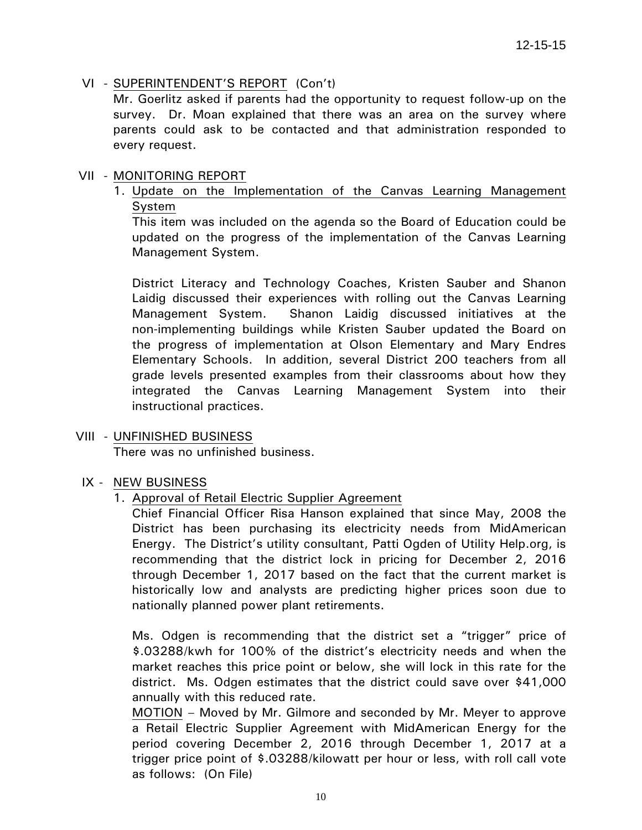# VI - SUPERINTENDENT'S REPORT (Con't)

Mr. Goerlitz asked if parents had the opportunity to request follow-up on the survey. Dr. Moan explained that there was an area on the survey where parents could ask to be contacted and that administration responded to every request.

#### VII - MONITORING REPORT

1. Update on the Implementation of the Canvas Learning Management System

This item was included on the agenda so the Board of Education could be updated on the progress of the implementation of the Canvas Learning Management System.

 District Literacy and Technology Coaches, Kristen Sauber and Shanon Laidig discussed their experiences with rolling out the Canvas Learning Management System. Shanon Laidig discussed initiatives at the non-implementing buildings while Kristen Sauber updated the Board on the progress of implementation at Olson Elementary and Mary Endres Elementary Schools. In addition, several District 200 teachers from all grade levels presented examples from their classrooms about how they integrated the Canvas Learning Management System into their instructional practices.

# VIII - UNFINISHED BUSINESS

There was no unfinished business.

# IX - NEW BUSINESS

1. Approval of Retail Electric Supplier Agreement

Chief Financial Officer Risa Hanson explained that since May, 2008 the District has been purchasing its electricity needs from MidAmerican Energy. The District's utility consultant, Patti Ogden of Utility Help.org, is recommending that the district lock in pricing for December 2, 2016 through December 1, 2017 based on the fact that the current market is historically low and analysts are predicting higher prices soon due to nationally planned power plant retirements.

Ms. Odgen is recommending that the district set a "trigger" price of \$.03288/kwh for 100% of the district's electricity needs and when the market reaches this price point or below, she will lock in this rate for the district. Ms. Odgen estimates that the district could save over \$41,000 annually with this reduced rate.

MOTION – Moved by Mr. Gilmore and seconded by Mr. Meyer to approve a Retail Electric Supplier Agreement with MidAmerican Energy for the period covering December 2, 2016 through December 1, 2017 at a trigger price point of \$.03288/kilowatt per hour or less, with roll call vote as follows: (On File)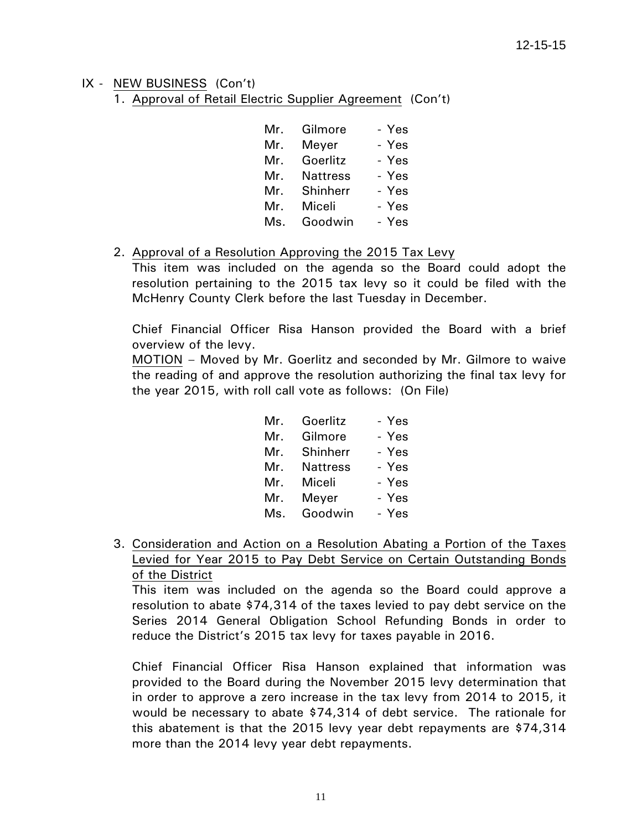1. Approval of Retail Electric Supplier Agreement (Con't)

| Mr. | Gilmore         | - Yes |
|-----|-----------------|-------|
| Mr. | Meyer           | - Yes |
| Mr. | Goerlitz        | - Yes |
| Mr. | <b>Nattress</b> | - Yes |
| Mr. | Shinherr        | - Yes |
| Mr. | Miceli          | - Yes |
| Ms. | Goodwin         | - Yes |

#### 2. Approval of a Resolution Approving the 2015 Tax Levy

This item was included on the agenda so the Board could adopt the resolution pertaining to the 2015 tax levy so it could be filed with the McHenry County Clerk before the last Tuesday in December.

Chief Financial Officer Risa Hanson provided the Board with a brief overview of the levy.

MOTION – Moved by Mr. Goerlitz and seconded by Mr. Gilmore to waive the reading of and approve the resolution authorizing the final tax levy for the year 2015, with roll call vote as follows: (On File)

| Mr. | Goerlitz        | - Yes |
|-----|-----------------|-------|
| Mr. | Gilmore         | - Yes |
| Mr. | Shinherr        | - Yes |
| Mr. | <b>Nattress</b> | - Yes |
| Mr. | Miceli          | - Yes |
| Mr. | Meyer           | - Yes |
| Ms. | Goodwin         | - Yes |

3. Consideration and Action on a Resolution Abating a Portion of the Taxes Levied for Year 2015 to Pay Debt Service on Certain Outstanding Bonds of the District

This item was included on the agenda so the Board could approve a resolution to abate \$74,314 of the taxes levied to pay debt service on the Series 2014 General Obligation School Refunding Bonds in order to reduce the District's 2015 tax levy for taxes payable in 2016.

Chief Financial Officer Risa Hanson explained that information was provided to the Board during the November 2015 levy determination that in order to approve a zero increase in the tax levy from 2014 to 2015, it would be necessary to abate \$74,314 of debt service. The rationale for this abatement is that the 2015 levy year debt repayments are \$74,314 more than the 2014 levy year debt repayments.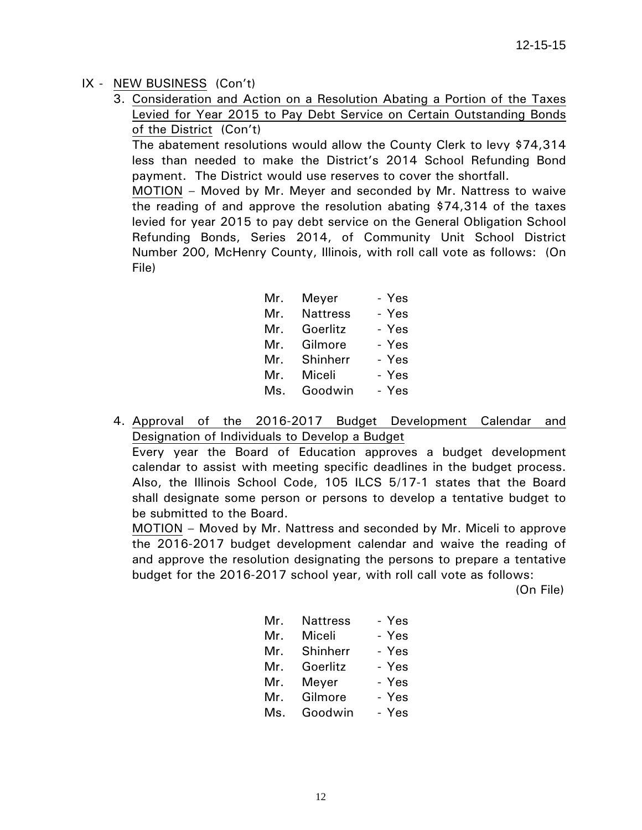3. Consideration and Action on a Resolution Abating a Portion of the Taxes Levied for Year 2015 to Pay Debt Service on Certain Outstanding Bonds of the District (Con't)

The abatement resolutions would allow the County Clerk to levy \$74,314 less than needed to make the District's 2014 School Refunding Bond payment. The District would use reserves to cover the shortfall.

MOTION – Moved by Mr. Meyer and seconded by Mr. Nattress to waive the reading of and approve the resolution abating \$74,314 of the taxes levied for year 2015 to pay debt service on the General Obligation School Refunding Bonds, Series 2014, of Community Unit School District Number 200, McHenry County, Illinois, with roll call vote as follows: (On File)

| Mr. | Meyer           | - Yes |
|-----|-----------------|-------|
| Mr. | <b>Nattress</b> | - Yes |
| Mr. | Goerlitz        | - Yes |
| Mr. | Gilmore         | - Yes |
| Mr. | Shinherr        | - Yes |
| Mr. | Miceli          | - Yes |
| Ms. | Goodwin         | - Yes |
|     |                 |       |

4. Approval of the 2016-2017 Budget Development Calendar and Designation of Individuals to Develop a Budget

Every year the Board of Education approves a budget development calendar to assist with meeting specific deadlines in the budget process. Also, the Illinois School Code, 105 ILCS 5/17-1 states that the Board shall designate some person or persons to develop a tentative budget to be submitted to the Board.

MOTION – Moved by Mr. Nattress and seconded by Mr. Miceli to approve the 2016-2017 budget development calendar and waive the reading of and approve the resolution designating the persons to prepare a tentative budget for the 2016-2017 school year, with roll call vote as follows:

(On File)

| Mr. | <b>Nattress</b> | - Yes |
|-----|-----------------|-------|
| Mr. | Miceli          | - Yes |
|     | Mr. Shinherr    | - Yes |
| Mr. | Goerlitz        | - Yes |
| Mr. | Meyer           | - Yes |
| Mr. | Gilmore         | - Yes |
| Ms. | Goodwin         | - Yes |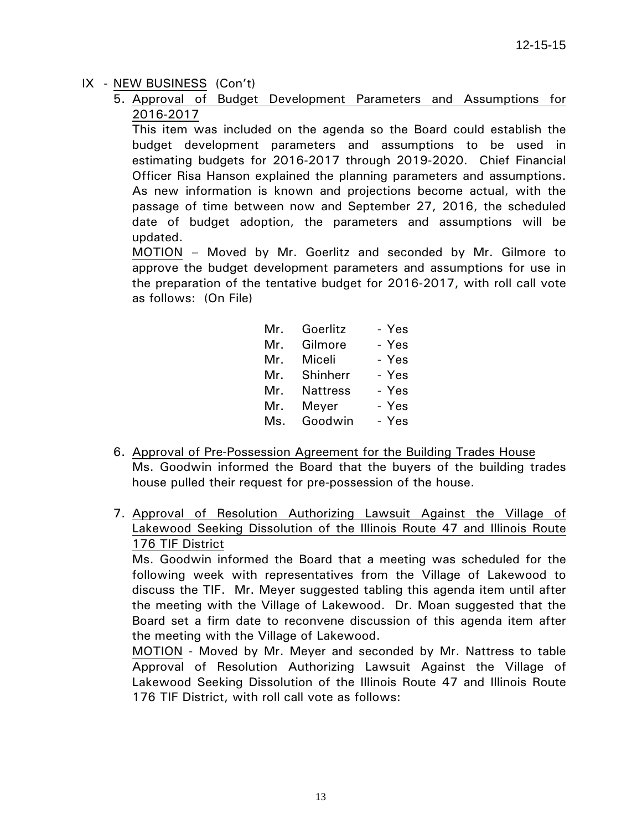5. Approval of Budget Development Parameters and Assumptions for 2016-2017

This item was included on the agenda so the Board could establish the budget development parameters and assumptions to be used in estimating budgets for 2016-2017 through 2019-2020. Chief Financial Officer Risa Hanson explained the planning parameters and assumptions. As new information is known and projections become actual, with the passage of time between now and September 27, 2016, the scheduled date of budget adoption, the parameters and assumptions will be updated.

MOTION – Moved by Mr. Goerlitz and seconded by Mr. Gilmore to approve the budget development parameters and assumptions for use in the preparation of the tentative budget for 2016-2017, with roll call vote as follows: (On File)

| Mr. | Goerlitz        | - Yes |
|-----|-----------------|-------|
| Mr. | Gilmore         | - Yes |
| Mr. | Miceli          | - Yes |
| Mr. | Shinherr        | - Yes |
| Mr. | <b>Nattress</b> | - Yes |
| Mr. | Meyer           | - Yes |
| Ms. | Goodwin         | - Yes |

- 6. Approval of Pre-Possession Agreement for the Building Trades House Ms. Goodwin informed the Board that the buyers of the building trades house pulled their request for pre-possession of the house.
- 7. Approval of Resolution Authorizing Lawsuit Against the Village of Lakewood Seeking Dissolution of the Illinois Route 47 and Illinois Route 176 TIF District

Ms. Goodwin informed the Board that a meeting was scheduled for the following week with representatives from the Village of Lakewood to discuss the TIF. Mr. Meyer suggested tabling this agenda item until after the meeting with the Village of Lakewood. Dr. Moan suggested that the Board set a firm date to reconvene discussion of this agenda item after the meeting with the Village of Lakewood.

MOTION - Moved by Mr. Meyer and seconded by Mr. Nattress to table Approval of Resolution Authorizing Lawsuit Against the Village of Lakewood Seeking Dissolution of the Illinois Route 47 and Illinois Route 176 TIF District, with roll call vote as follows: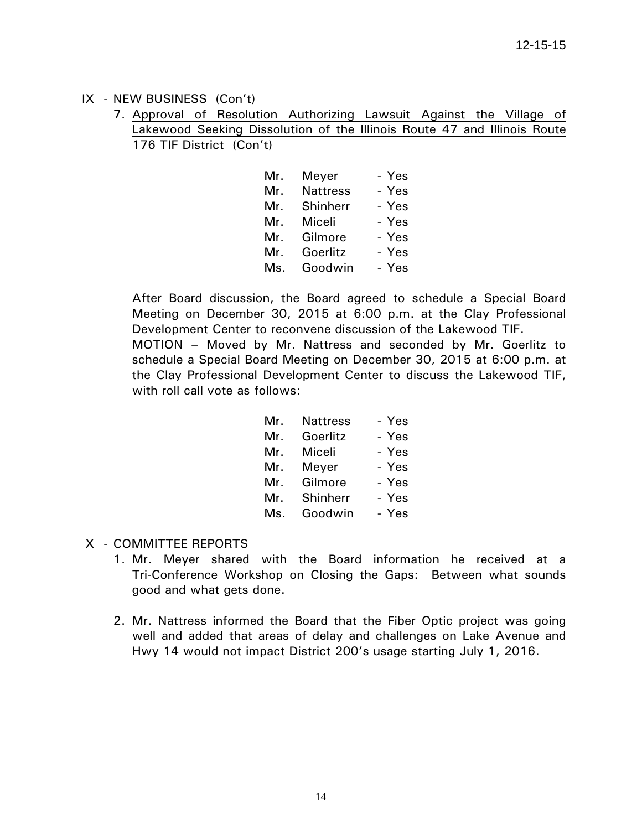7. Approval of Resolution Authorizing Lawsuit Against the Village of Lakewood Seeking Dissolution of the Illinois Route 47 and Illinois Route 176 TIF District (Con't)

|     | Mr. Meyer       | - Yes |
|-----|-----------------|-------|
| Mr. | <b>Nattress</b> | - Yes |
|     | Mr. Shinherr    | - Yes |
| Mr. | Miceli          | - Yes |
| Mr. | Gilmore         | - Yes |
| Mr. | Goerlitz        | - Yes |
| Ms. | Goodwin         | - Yes |

 After Board discussion, the Board agreed to schedule a Special Board Meeting on December 30, 2015 at 6:00 p.m. at the Clay Professional Development Center to reconvene discussion of the Lakewood TIF. MOTION – Moved by Mr. Nattress and seconded by Mr. Goerlitz to schedule a Special Board Meeting on December 30, 2015 at 6:00 p.m. at the Clay Professional Development Center to discuss the Lakewood TIF, with roll call vote as follows:

| Mr. | <b>Nattress</b> | - Yes |
|-----|-----------------|-------|
| Mr. | Goerlitz        | - Yes |
| Mr. | Miceli          | - Yes |
|     | Mr. Meyer       | - Yes |
| Mr. | Gilmore         | - Yes |
| Mr. | Shinherr        | - Yes |
| Ms. | Goodwin         | - Yes |

# X - COMMITTEE REPORTS

- 1. Mr. Meyer shared with the Board information he received at a Tri-Conference Workshop on Closing the Gaps: Between what sounds good and what gets done.
- 2. Mr. Nattress informed the Board that the Fiber Optic project was going well and added that areas of delay and challenges on Lake Avenue and Hwy 14 would not impact District 200's usage starting July 1, 2016.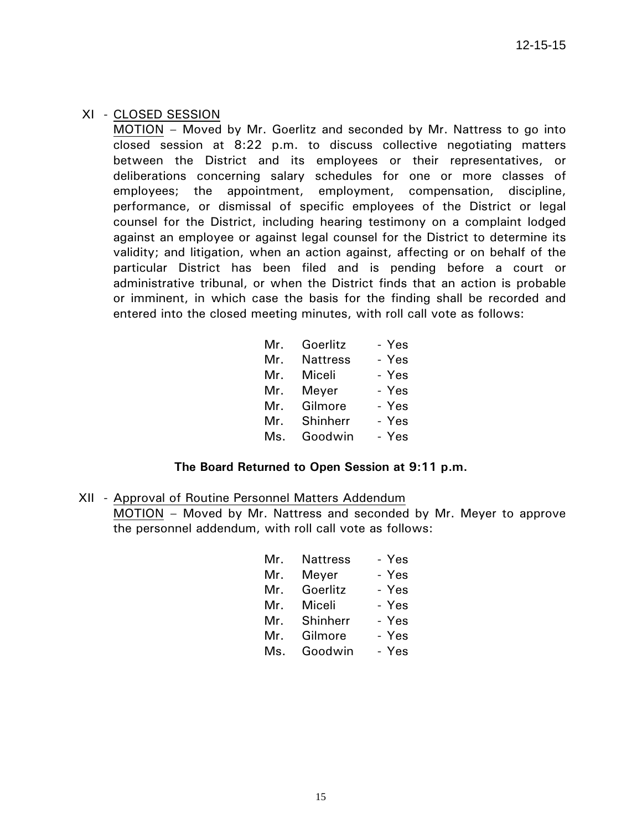#### XI - CLOSED SESSION

 MOTION – Moved by Mr. Goerlitz and seconded by Mr. Nattress to go into closed session at 8:22 p.m. to discuss collective negotiating matters between the District and its employees or their representatives, or deliberations concerning salary schedules for one or more classes of employees; the appointment, employment, compensation, discipline, performance, or dismissal of specific employees of the District or legal counsel for the District, including hearing testimony on a complaint lodged against an employee or against legal counsel for the District to determine its validity; and litigation, when an action against, affecting or on behalf of the particular District has been filed and is pending before a court or administrative tribunal, or when the District finds that an action is probable or imminent, in which case the basis for the finding shall be recorded and entered into the closed meeting minutes, with roll call vote as follows:

| Mr. | Goerlitz        | - Yes |
|-----|-----------------|-------|
| Mr. | <b>Nattress</b> | - Yes |
| Mr. | Miceli          | - Yes |
| Mr. | Meyer           | - Yes |
| Mr. | Gilmore         | - Yes |
| Mr. | Shinherr        | - Yes |
| Ms. | Goodwin         | - Yes |

# **The Board Returned to Open Session at 9:11 p.m.**

 XII - Approval of Routine Personnel Matters Addendum MOTION – Moved by Mr. Nattress and seconded by Mr. Meyer to approve the personnel addendum, with roll call vote as follows:

| Mr. | <b>Nattress</b> | - Yes |
|-----|-----------------|-------|
| Mr. | Meyer           | - Yes |
| Mr. | Goerlitz        | - Yes |
| Mr. | Miceli          | - Yes |
| Mr. | Shinherr        | - Yes |
| Mr. | Gilmore         | - Yes |
| Ms. | Goodwin         | - Yes |